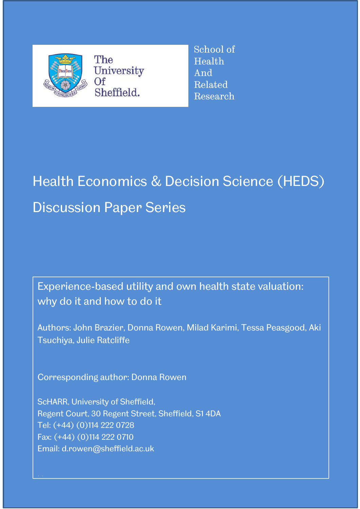

School of Health And Related Research

# Health Economics & Decision Science (HEDS) Discussion Paper Series

Experience-based utility and own health state valuation: why do it and how to do it

Authors: John Brazier, Donna Rowen, Milad Karimi, Tessa Peasgood, Aki Tsuchiya, Julie Ratcliffe

Corresponding author: Donna Rowen

ScHARR, University of Sheffield, Regent Court, 30 Regent Street, Sheffield, S1 4DA Tel: (+44) (0)114 222 0728 Fax: (+44) (0)114 222 0710 Email: d.rowen@sheffield.ac.uk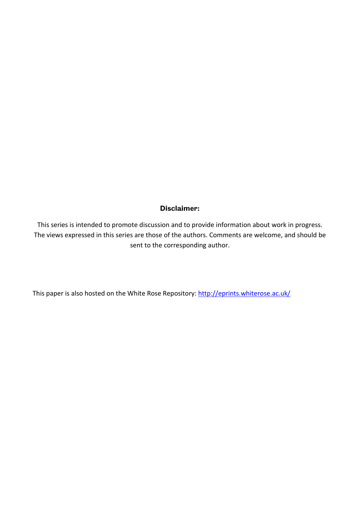#### **Disclaimer:**

This series is intended to promote discussion and to provide information about work in progress. The views expressed in this series are those of the authors. Comments are welcome, and should be sent to the corresponding author.

This paper is also hosted on the White Rose Repository[: http://eprints.whiterose.ac.uk/](http://eprints.whiterose.ac.uk/)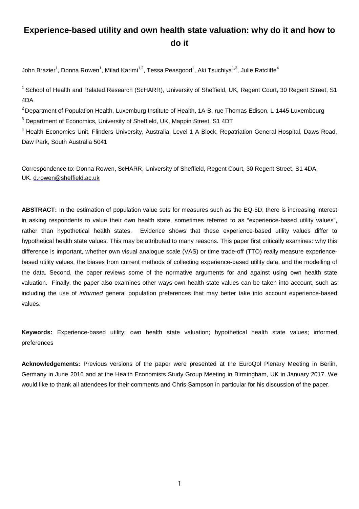## **Experience-based utility and own health state valuation: why do it and how to do it**

John Brazier $^1$ , Donna Rowen $^1$ , Milad Karimi $^{1,2}$ , Tessa Peasgood $^1$ , Aki Tsuchiya $^{1,3}$ , Julie Ratcliffe $^4$ 

<sup>1</sup> School of Health and Related Research (ScHARR), University of Sheffield, UK, Regent Court, 30 Regent Street, S1 4DA

<sup>2</sup> Department of Population Health, Luxemburg Institute of Health, 1A-B, rue Thomas Edison, L-1445 Luxembourg

<sup>3</sup> Department of Economics, University of Sheffield, UK, Mappin Street, S1 4DT

<sup>4</sup> Health Economics Unit, Flinders University, Australia, Level 1 A Block, Repatriation General Hospital, Daws Road, Daw Park, South Australia 5041

Correspondence to: Donna Rowen, ScHARR, University of Sheffield, Regent Court, 30 Regent Street, S1 4DA, UK. [d.rowen@sheffield.ac.uk](mailto:d.rowen@sheffield.ac.uk)

**ABSTRACT:** In the estimation of population value sets for measures such as the EQ-5D, there is increasing interest in asking respondents to value their own health state, sometimes referred to as "experience-based utility values", rather than hypothetical health states. Evidence shows that these experience-based utility values differ to hypothetical health state values. This may be attributed to many reasons. This paper first critically examines: why this difference is important, whether own visual analogue scale (VAS) or time trade-off (TTO) really measure experiencebased utility values, the biases from current methods of collecting experience-based utility data, and the modelling of the data. Second, the paper reviews some of the normative arguments for and against using own health state valuation. Finally, the paper also examines other ways own health state values can be taken into account, such as including the use of *informed* general population preferences that may better take into account experience-based values.

**Keywords:** Experience-based utility; own health state valuation; hypothetical health state values; informed preferences

**Acknowledgements:** Previous versions of the paper were presented at the EuroQol Plenary Meeting in Berlin, Germany in June 2016 and at the Health Economists Study Group Meeting in Birmingham, UK in January 2017. We would like to thank all attendees for their comments and Chris Sampson in particular for his discussion of the paper.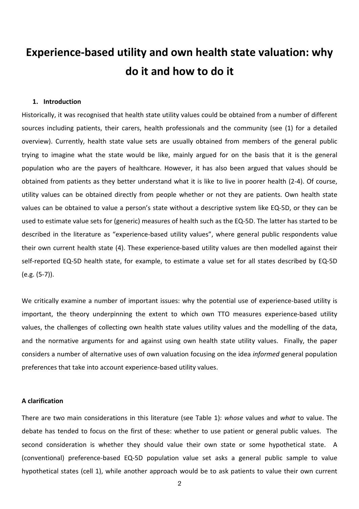# **Experience-based utility and own health state valuation: why do it and how to do it**

#### **1. Introduction**

Historically, it was recognised that health state utility values could be obtained from a number of different sources including patients, their carers, health professionals and the community (see (1) for a detailed overview). Currently, health state value sets are usually obtained from members of the general public trying to imagine what the state would be like, mainly argued for on the basis that it is the general population who are the payers of healthcare. However, it has also been argued that values should be obtained from patients as they better understand what it is like to live in poorer health (2-4). Of course, utility values can be obtained directly from people whether or not they are patients. Own health state values can be obtained to value a person's state without a descriptive system like EQ-5D, or they can be used to estimate value sets for (generic) measures of health such as the EQ-5D. The latter has started to be described in the literature as "experience-based utility values", where general public respondents value their own current health state (4). These experience-based utility values are then modelled against their self-reported EQ-5D health state, for example, to estimate a value set for all states described by EQ-5D (e.g. (5-7)).

We critically examine a number of important issues: why the potential use of experience-based utility is important, the theory underpinning the extent to which own TTO measures experience-based utility values, the challenges of collecting own health state values utility values and the modelling of the data, and the normative arguments for and against using own health state utility values. Finally, the paper considers a number of alternative uses of own valuation focusing on the idea *informed* general population preferences that take into account experience-based utility values.

#### **A clarification**

There are two main considerations in this literature (see Table 1): *whose* values and *what* to value. The debate has tended to focus on the first of these: whether to use patient or general public values. The second consideration is whether they should value their own state or some hypothetical state. A (conventional) preference-based EQ-5D population value set asks a general public sample to value hypothetical states (cell 1), while another approach would be to ask patients to value their own current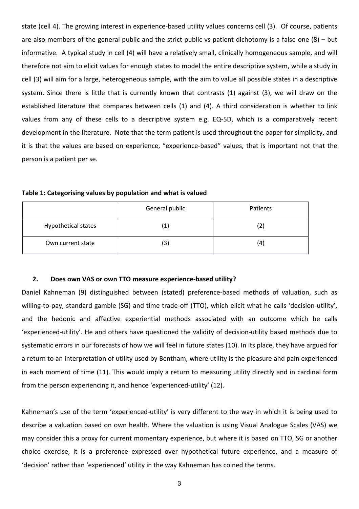state (cell 4). The growing interest in experience-based utility values concerns cell (3). Of course, patients are also members of the general public and the strict public vs patient dichotomy is a false one (8) – but informative. A typical study in cell (4) will have a relatively small, clinically homogeneous sample, and will therefore not aim to elicit values for enough states to model the entire descriptive system, while a study in cell (3) will aim for a large, heterogeneous sample, with the aim to value all possible states in a descriptive system. Since there is little that is currently known that contrasts (1) against (3), we will draw on the established literature that compares between cells (1) and (4). A third consideration is whether to link values from any of these cells to a descriptive system e.g. EQ-5D, which is a comparatively recent development in the literature. Note that the term patient is used throughout the paper for simplicity, and it is that the values are based on experience, "experience-based" values, that is important not that the person is a patient per se.

**Table 1: Categorising values by population and what is valued**

|                     | General public | Patients |
|---------------------|----------------|----------|
| Hypothetical states | $\mathbf{1}$   | (2)      |
| Own current state   | 3)             | (4)      |

#### **2. Does own VAS or own TTO measure experience-based utility?**

Daniel Kahneman (9) distinguished between (stated) preference-based methods of valuation, such as willing-to-pay, standard gamble (SG) and time trade-off (TTO), which elicit what he calls 'decision-utility', and the hedonic and affective experiential methods associated with an outcome which he calls 'experienced-utility'. He and others have questioned the validity of decision-utility based methods due to systematic errors in our forecasts of how we will feel in future states (10). In its place, they have argued for a return to an interpretation of utility used by Bentham, where utility is the pleasure and pain experienced in each moment of time (11). This would imply a return to measuring utility directly and in cardinal form from the person experiencing it, and hence 'experienced-utility' (12).

Kahneman's use of the term 'experienced-utility' is very different to the way in which it is being used to describe a valuation based on own health. Where the valuation is using Visual Analogue Scales (VAS) we may consider this a proxy for current momentary experience, but where it is based on TTO, SG or another choice exercise, it is a preference expressed over hypothetical future experience, and a measure of 'decision' rather than 'experienced' utility in the way Kahneman has coined the terms.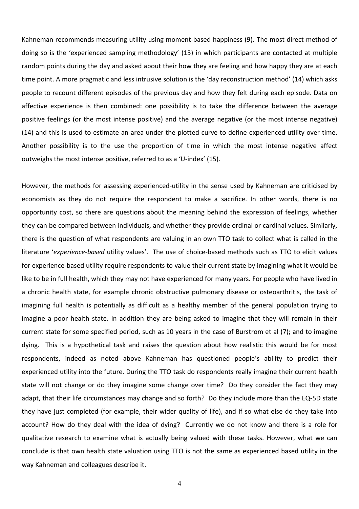Kahneman recommends measuring utility using moment-based happiness (9). The most direct method of doing so is the 'experienced sampling methodology' (13) in which participants are contacted at multiple random points during the day and asked about their how they are feeling and how happy they are at each time point. A more pragmatic and less intrusive solution is the 'day reconstruction method' (14) which asks people to recount different episodes of the previous day and how they felt during each episode. Data on affective experience is then combined: one possibility is to take the difference between the average positive feelings (or the most intense positive) and the average negative (or the most intense negative) (14) and this is used to estimate an area under the plotted curve to define experienced utility over time. Another possibility is to the use the proportion of time in which the most intense negative affect outweighs the most intense positive, referred to as a 'U-index' (15).

However, the methods for assessing experienced-utility in the sense used by Kahneman are criticised by economists as they do not require the respondent to make a sacrifice. In other words, there is no opportunity cost, so there are questions about the meaning behind the expression of feelings, whether they can be compared between individuals, and whether they provide ordinal or cardinal values. Similarly, there is the question of what respondents are valuing in an own TTO task to collect what is called in the literature '*experience-based* utility values'. The use of choice-based methods such as TTO to elicit values for experience-based utility require respondents to value their current state by imagining what it would be like to be in full health, which they may not have experienced for many years. For people who have lived in a chronic health state, for example chronic obstructive pulmonary disease or osteoarthritis, the task of imagining full health is potentially as difficult as a healthy member of the general population trying to imagine a poor health state. In addition they are being asked to imagine that they will remain in their current state for some specified period, such as 10 years in the case of Burstrom et al (7); and to imagine dying. This is a hypothetical task and raises the question about how realistic this would be for most respondents, indeed as noted above Kahneman has questioned people's ability to predict their experienced utility into the future. During the TTO task do respondents really imagine their current health state will not change or do they imagine some change over time? Do they consider the fact they may adapt, that their life circumstances may change and so forth? Do they include more than the EQ-5D state they have just completed (for example, their wider quality of life), and if so what else do they take into account? How do they deal with the idea of dying? Currently we do not know and there is a role for qualitative research to examine what is actually being valued with these tasks. However, what we can conclude is that own health state valuation using TTO is not the same as experienced based utility in the way Kahneman and colleagues describe it.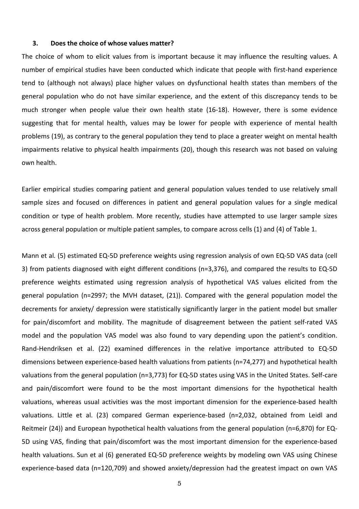#### **3. Does the choice of whose values matter?**

The choice of whom to elicit values from is important because it may influence the resulting values. A number of empirical studies have been conducted which indicate that people with first-hand experience tend to (although not always) place higher values on dysfunctional health states than members of the general population who do not have similar experience, and the extent of this discrepancy tends to be much stronger when people value their own health state (16-18). However, there is some evidence suggesting that for mental health, values may be lower for people with experience of mental health problems (19), as contrary to the general population they tend to place a greater weight on mental health impairments relative to physical health impairments (20), though this research was not based on valuing own health.

Earlier empirical studies comparing patient and general population values tended to use relatively small sample sizes and focused on differences in patient and general population values for a single medical condition or type of health problem. More recently, studies have attempted to use larger sample sizes across general population or multiple patient samples, to compare across cells (1) and (4) of Table 1.

Mann et al*.* (5) estimated EQ-5D preference weights using regression analysis of own EQ-5D VAS data (cell 3) from patients diagnosed with eight different conditions (n=3,376), and compared the results to EQ-5D preference weights estimated using regression analysis of hypothetical VAS values elicited from the general population (n=2997; the MVH dataset, (21)). Compared with the general population model the decrements for anxiety/ depression were statistically significantly larger in the patient model but smaller for pain/discomfort and mobility. The magnitude of disagreement between the patient self-rated VAS model and the population VAS model was also found to vary depending upon the patient's condition. Rand-Hendriksen et al. (22) examined differences in the relative importance attributed to EQ-5D dimensions between experience-based health valuations from patients (n=74,277) and hypothetical health valuations from the general population (n=3,773) for EQ-5D states using VAS in the United States. Self-care and pain/discomfort were found to be the most important dimensions for the hypothetical health valuations, whereas usual activities was the most important dimension for the experience-based health valuations. Little et al. (23) compared German experience-based (n=2,032, obtained from Leidl and Reitmeir (24)) and European hypothetical health valuations from the general population (n=6,870) for EQ-5D using VAS, finding that pain/discomfort was the most important dimension for the experience-based health valuations. Sun et al (6) generated EQ-5D preference weights by modeling own VAS using Chinese experience-based data (n=120,709) and showed anxiety/depression had the greatest impact on own VAS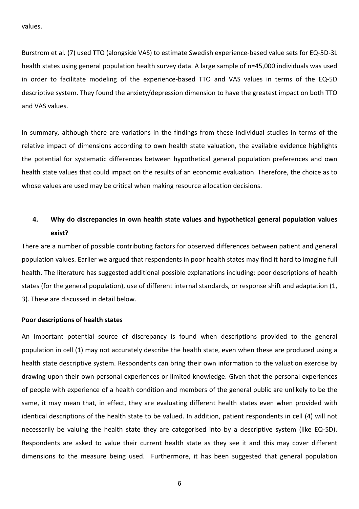values.

Burstrom et al*.* (7) used TTO (alongside VAS) to estimate Swedish experience-based value sets for EQ-5D-3L health states using general population health survey data. A large sample of n=45,000 individuals was used in order to facilitate modeling of the experience-based TTO and VAS values in terms of the EQ-5D descriptive system. They found the anxiety/depression dimension to have the greatest impact on both TTO and VAS values.

In summary, although there are variations in the findings from these individual studies in terms of the relative impact of dimensions according to own health state valuation, the available evidence highlights the potential for systematic differences between hypothetical general population preferences and own health state values that could impact on the results of an economic evaluation. Therefore, the choice as to whose values are used may be critical when making resource allocation decisions.

### **4. Why do discrepancies in own health state values and hypothetical general population values exist?**

There are a number of possible contributing factors for observed differences between patient and general population values. Earlier we argued that respondents in poor health states may find it hard to imagine full health. The literature has suggested additional possible explanations including: poor descriptions of health states (for the general population), use of different internal standards, or response shift and adaptation (1, 3). These are discussed in detail below.

#### **Poor descriptions of health states**

An important potential source of discrepancy is found when descriptions provided to the general population in cell (1) may not accurately describe the health state, even when these are produced using a health state descriptive system. Respondents can bring their own information to the valuation exercise by drawing upon their own personal experiences or limited knowledge. Given that the personal experiences of people with experience of a health condition and members of the general public are unlikely to be the same, it may mean that, in effect, they are evaluating different health states even when provided with identical descriptions of the health state to be valued. In addition, patient respondents in cell (4) will not necessarily be valuing the health state they are categorised into by a descriptive system (like EQ-5D). Respondents are asked to value their current health state as they see it and this may cover different dimensions to the measure being used. Furthermore, it has been suggested that general population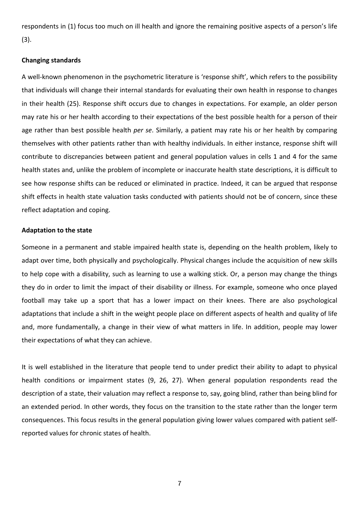respondents in (1) focus too much on ill health and ignore the remaining positive aspects of a person's life (3).

#### **Changing standards**

A well-known phenomenon in the psychometric literature is 'response shift', which refers to the possibility that individuals will change their internal standards for evaluating their own health in response to changes in their health (25). Response shift occurs due to changes in expectations. For example, an older person may rate his or her health according to their expectations of the best possible health for a person of their age rather than best possible health *per se*. Similarly, a patient may rate his or her health by comparing themselves with other patients rather than with healthy individuals. In either instance, response shift will contribute to discrepancies between patient and general population values in cells 1 and 4 for the same health states and, unlike the problem of incomplete or inaccurate health state descriptions, it is difficult to see how response shifts can be reduced or eliminated in practice. Indeed, it can be argued that response shift effects in health state valuation tasks conducted with patients should not be of concern, since these reflect adaptation and coping.

#### **Adaptation to the state**

Someone in a permanent and stable impaired health state is, depending on the health problem, likely to adapt over time, both physically and psychologically. Physical changes include the acquisition of new skills to help cope with a disability, such as learning to use a walking stick. Or, a person may change the things they do in order to limit the impact of their disability or illness. For example, someone who once played football may take up a sport that has a lower impact on their knees. There are also psychological adaptations that include a shift in the weight people place on different aspects of health and quality of life and, more fundamentally, a change in their view of what matters in life. In addition, people may lower their expectations of what they can achieve.

It is well established in the literature that people tend to under predict their ability to adapt to physical health conditions or impairment states (9, 26, 27). When general population respondents read the description of a state, their valuation may reflect a response to, say, going blind, rather than being blind for an extended period. In other words, they focus on the transition to the state rather than the longer term consequences. This focus results in the general population giving lower values compared with patient selfreported values for chronic states of health.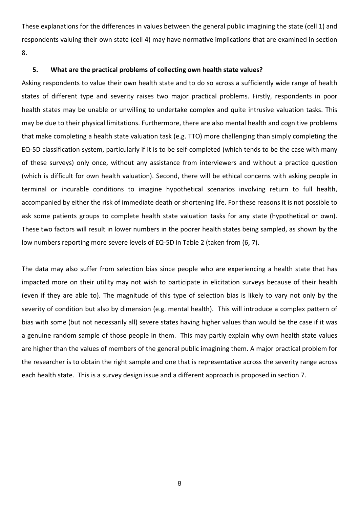These explanations for the differences in values between the general public imagining the state (cell 1) and respondents valuing their own state (cell 4) may have normative implications that are examined in section 8.

#### **5. What are the practical problems of collecting own health state values?**

Asking respondents to value their own health state and to do so across a sufficiently wide range of health states of different type and severity raises two major practical problems. Firstly, respondents in poor health states may be unable or unwilling to undertake complex and quite intrusive valuation tasks. This may be due to their physical limitations. Furthermore, there are also mental health and cognitive problems that make completing a health state valuation task (e.g. TTO) more challenging than simply completing the EQ-5D classification system, particularly if it is to be self-completed (which tends to be the case with many of these surveys) only once, without any assistance from interviewers and without a practice question (which is difficult for own health valuation). Second, there will be ethical concerns with asking people in terminal or incurable conditions to imagine hypothetical scenarios involving return to full health, accompanied by either the risk of immediate death or shortening life. For these reasons it is not possible to ask some patients groups to complete health state valuation tasks for any state (hypothetical or own). These two factors will result in lower numbers in the poorer health states being sampled, as shown by the low numbers reporting more severe levels of EQ-5D in Table 2 (taken from (6, 7).

The data may also suffer from selection bias since people who are experiencing a health state that has impacted more on their utility may not wish to participate in elicitation surveys because of their health (even if they are able to). The magnitude of this type of selection bias is likely to vary not only by the severity of condition but also by dimension (e.g. mental health). This will introduce a complex pattern of bias with some (but not necessarily all) severe states having higher values than would be the case if it was a genuine random sample of those people in them. This may partly explain why own health state values are higher than the values of members of the general public imagining them. A major practical problem for the researcher is to obtain the right sample and one that is representative across the severity range across each health state. This is a survey design issue and a different approach is proposed in section 7.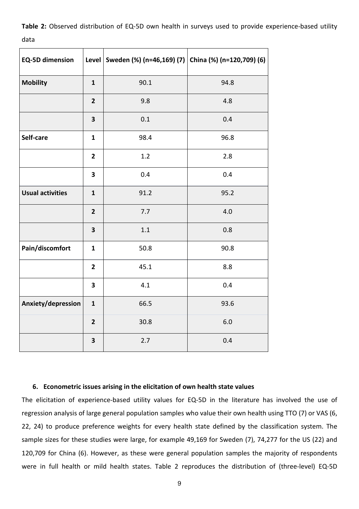**Table 2:** Observed distribution of EQ-5D own health in surveys used to provide experience-based utility data

| <b>EQ-5D dimension</b>  |                         | Level   Sweden (%) (n=46,169) (7)   China (%) (n=120,709) (6) |      |
|-------------------------|-------------------------|---------------------------------------------------------------|------|
| <b>Mobility</b>         | $\mathbf{1}$            | 90.1                                                          | 94.8 |
|                         | $\mathbf{2}$            | 9.8                                                           | 4.8  |
|                         | 3                       | 0.1                                                           | 0.4  |
| Self-care               | $\mathbf{1}$            | 98.4                                                          | 96.8 |
|                         | $\mathbf{2}$            | 1.2                                                           | 2.8  |
|                         | 3                       | 0.4                                                           | 0.4  |
| <b>Usual activities</b> | $\mathbf{1}$            | 91.2                                                          | 95.2 |
|                         | $\mathbf{2}$            | 7.7                                                           | 4.0  |
|                         | 3                       | 1.1                                                           | 0.8  |
| Pain/discomfort         | $\mathbf{1}$            | 50.8                                                          | 90.8 |
|                         | $\mathbf{2}$            | 45.1                                                          | 8.8  |
|                         | 3                       | 4.1                                                           | 0.4  |
| Anxiety/depression      | $\mathbf{1}$            | 66.5                                                          | 93.6 |
|                         | $\overline{\mathbf{2}}$ | 30.8                                                          | 6.0  |
|                         | $\overline{\mathbf{3}}$ | 2.7                                                           | 0.4  |

#### **6. Econometric issues arising in the elicitation of own health state values**

The elicitation of experience-based utility values for EQ-5D in the literature has involved the use of regression analysis of large general population samples who value their own health using TTO (7) or VAS (6, 22, 24) to produce preference weights for every health state defined by the classification system. The sample sizes for these studies were large, for example 49,169 for Sweden (7), 74,277 for the US (22) and 120,709 for China (6). However, as these were general population samples the majority of respondents were in full health or mild health states. Table 2 reproduces the distribution of (three-level) EQ-5D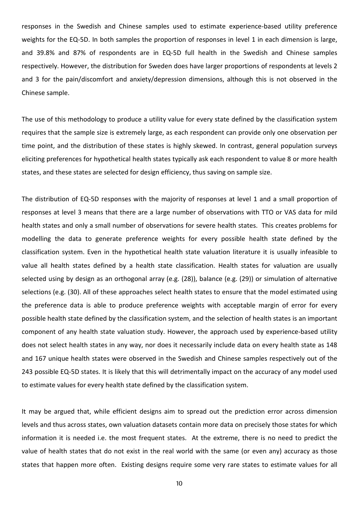responses in the Swedish and Chinese samples used to estimate experience-based utility preference weights for the EQ-5D. In both samples the proportion of responses in level 1 in each dimension is large, and 39.8% and 87% of respondents are in EQ-5D full health in the Swedish and Chinese samples respectively. However, the distribution for Sweden does have larger proportions of respondents at levels 2 and 3 for the pain/discomfort and anxiety/depression dimensions, although this is not observed in the Chinese sample.

The use of this methodology to produce a utility value for every state defined by the classification system requires that the sample size is extremely large, as each respondent can provide only one observation per time point, and the distribution of these states is highly skewed. In contrast, general population surveys eliciting preferences for hypothetical health states typically ask each respondent to value 8 or more health states, and these states are selected for design efficiency, thus saving on sample size.

The distribution of EQ-5D responses with the majority of responses at level 1 and a small proportion of responses at level 3 means that there are a large number of observations with TTO or VAS data for mild health states and only a small number of observations for severe health states. This creates problems for modelling the data to generate preference weights for every possible health state defined by the classification system. Even in the hypothetical health state valuation literature it is usually infeasible to value all health states defined by a health state classification. Health states for valuation are usually selected using by design as an orthogonal array (e.g. (28)), balance (e.g. (29)) or simulation of alternative selections (e.g. (30). All of these approaches select health states to ensure that the model estimated using the preference data is able to produce preference weights with acceptable margin of error for every possible health state defined by the classification system, and the selection of health states is an important component of any health state valuation study. However, the approach used by experience-based utility does not select health states in any way, nor does it necessarily include data on every health state as 148 and 167 unique health states were observed in the Swedish and Chinese samples respectively out of the 243 possible EQ-5D states. It is likely that this will detrimentally impact on the accuracy of any model used to estimate values for every health state defined by the classification system.

It may be argued that, while efficient designs aim to spread out the prediction error across dimension levels and thus across states, own valuation datasets contain more data on precisely those states for which information it is needed i.e. the most frequent states. At the extreme, there is no need to predict the value of health states that do not exist in the real world with the same (or even any) accuracy as those states that happen more often. Existing designs require some very rare states to estimate values for all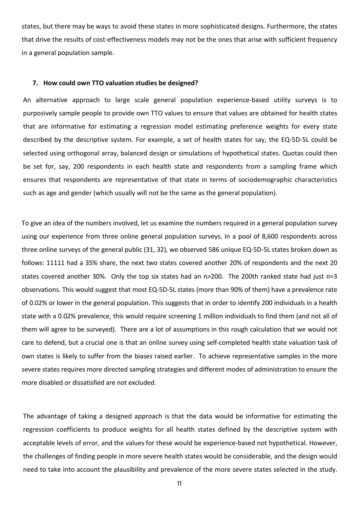states, but there may be ways to avoid these states in more sophisticated designs. Furthermore, the states that drive the results of cost-effectiveness models may not be the ones that arise with sufficient frequency in a general population sample.

#### **7. How could own TTO valuation studies be designed?**

An alternative approach to large scale general population experience-based utility surveys is to purposively sample people to provide own TTO values to ensure that values are obtained for health states that are informative for estimating a regression model estimating preference weights for every state described by the descriptive system. For example, a set of health states for say, the EQ-5D-5L could be selected using orthogonal array, balanced design or simulations of hypothetical states. Quotas could then be set for, say, 200 respondents in each health state and respondents from a sampling frame which ensures that respondents are representative of that state in terms of sociodemographic characteristics such as age and gender (which usually will not be the same as the general population).

To give an idea of the numbers involved, let us examine the numbers required in a general population survey using our experience from three online general population surveys. In a pool of 8,600 respondents across three online surveys of the general public (31, 32), we observed 586 unique EQ-5D-5L states broken down as follows: 11111 had a 35% share, the next two states covered another 20% of respondents and the next 20 states covered another 30%. Only the top six states had an n>200. The 200th ranked state had just n=3 observations. This would suggest that most EQ-5D-5L states (more than 90% of them) have a prevalence rate of 0.02% or lower in the general population. This suggests that in order to identify 200 individuals in a health state with a 0.02% prevalence, this would require screening 1 million individuals to find them (and not all of them will agree to be surveyed). There are a lot of assumptions in this rough calculation that we would not care to defend, but a crucial one is that an online survey using self-completed health state valuation task of own states is likely to suffer from the biases raised earlier. To achieve representative samples in the more severe states requires more directed sampling strategies and different modes of administration to ensure the more disabled or dissatisfied are not excluded.

The advantage of taking a designed approach is that the data would be informative for estimating the regression coefficients to produce weights for all health states defined by the descriptive system with acceptable levels of error, and the values for these would be experience-based not hypothetical. However, the challenges of finding people in more severe health states would be considerable, and the design would need to take into account the plausibility and prevalence of the more severe states selected in the study.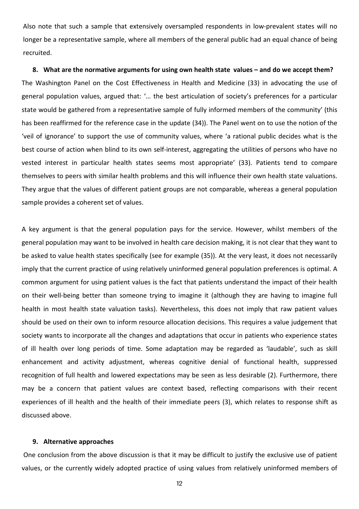Also note that such a sample that extensively oversampled respondents in low-prevalent states will no longer be a representative sample, where all members of the general public had an equal chance of being recruited.

**8. What are the normative arguments for using own health state values – and do we accept them?** The Washington Panel on the Cost Effectiveness in Health and Medicine (33) in advocating the use of general population values, argued that: '… the best articulation of society's preferences for a particular state would be gathered from a representative sample of fully informed members of the community' (this has been reaffirmed for the reference case in the update (34)). The Panel went on to use the notion of the 'veil of ignorance' to support the use of community values, where 'a rational public decides what is the best course of action when blind to its own self-interest, aggregating the utilities of persons who have no vested interest in particular health states seems most appropriate' (33). Patients tend to compare themselves to peers with similar health problems and this will influence their own health state valuations. They argue that the values of different patient groups are not comparable, whereas a general population sample provides a coherent set of values.

A key argument is that the general population pays for the service. However, whilst members of the general population may want to be involved in health care decision making, it is not clear that they want to be asked to value health states specifically (see for example (35)). At the very least, it does not necessarily imply that the current practice of using relatively uninformed general population preferences is optimal. A common argument for using patient values is the fact that patients understand the impact of their health on their well-being better than someone trying to imagine it (although they are having to imagine full health in most health state valuation tasks). Nevertheless, this does not imply that raw patient values should be used on their own to inform resource allocation decisions. This requires a value judgement that society wants to incorporate all the changes and adaptations that occur in patients who experience states of ill health over long periods of time. Some adaptation may be regarded as 'laudable', such as skill enhancement and activity adjustment, whereas cognitive denial of functional health, suppressed recognition of full health and lowered expectations may be seen as less desirable (2). Furthermore, there may be a concern that patient values are context based, reflecting comparisons with their recent experiences of ill health and the health of their immediate peers (3), which relates to response shift as discussed above.

#### **9. Alternative approaches**

One conclusion from the above discussion is that it may be difficult to justify the exclusive use of patient values, or the currently widely adopted practice of using values from relatively uninformed members of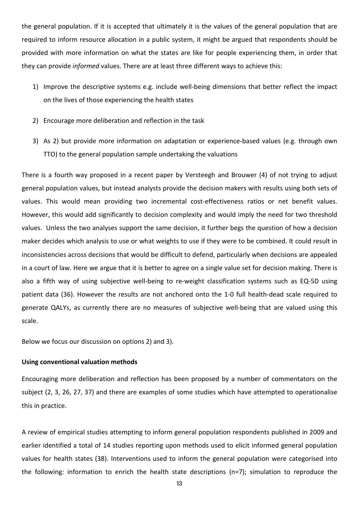the general population. If it is accepted that ultimately it is the values of the general population that are required to inform resource allocation in a public system, it might be argued that respondents should be provided with more information on what the states are like for people experiencing them, in order that they can provide *informed* values. There are at least three different ways to achieve this:

- 1) Improve the descriptive systems e.g. include well-being dimensions that better reflect the impact on the lives of those experiencing the health states
- 2) Encourage more deliberation and reflection in the task
- 3) As 2) but provide more information on adaptation or experience-based values (e.g. through own TTO) to the general population sample undertaking the valuations

There is a fourth way proposed in a recent paper by Versteegh and Brouwer (4) of not trying to adjust general population values, but instead analysts provide the decision makers with results using both sets of values. This would mean providing two incremental cost-effectiveness ratios or net benefit values. However, this would add significantly to decision complexity and would imply the need for two threshold values. Unless the two analyses support the same decision, it further begs the question of how a decision maker decides which analysis to use or what weights to use if they were to be combined. It could result in inconsistencies across decisions that would be difficult to defend, particularly when decisions are appealed in a court of law. Here we argue that it is better to agree on a single value set for decision making. There is also a fifth way of using subjective well-being to re-weight classification systems such as EQ-5D using patient data (36). However the results are not anchored onto the 1-0 full health-dead scale required to generate QALYs, as currently there are no measures of subjective well-being that are valued using this scale.

Below we focus our discussion on options 2) and 3).

#### **Using conventional valuation methods**

Encouraging more deliberation and reflection has been proposed by a number of commentators on the subject (2, 3, 26, 27, 37) and there are examples of some studies which have attempted to operationalise this in practice.

A review of empirical studies attempting to inform general population respondents published in 2009 and earlier identified a total of 14 studies reporting upon methods used to elicit informed general population values for health states (38). Interventions used to inform the general population were categorised into the following: information to enrich the health state descriptions (n=7); simulation to reproduce the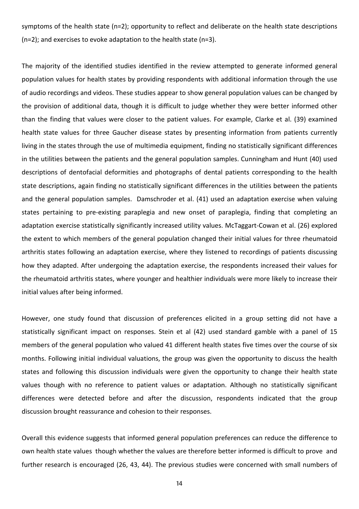symptoms of the health state (n=2); opportunity to reflect and deliberate on the health state descriptions (n=2); and exercises to evoke adaptation to the health state (n=3).

The majority of the identified studies identified in the review attempted to generate informed general population values for health states by providing respondents with additional information through the use of audio recordings and videos. These studies appear to show general population values can be changed by the provision of additional data, though it is difficult to judge whether they were better informed other than the finding that values were closer to the patient values. For example, Clarke et al. (39) examined health state values for three Gaucher disease states by presenting information from patients currently living in the states through the use of multimedia equipment, finding no statistically significant differences in the utilities between the patients and the general population samples. Cunningham and Hunt (40) used descriptions of dentofacial deformities and photographs of dental patients corresponding to the health state descriptions, again finding no statistically significant differences in the utilities between the patients and the general population samples. Damschroder et al. (41) used an adaptation exercise when valuing states pertaining to pre-existing paraplegia and new onset of paraplegia, finding that completing an adaptation exercise statistically significantly increased utility values. McTaggart-Cowan et al. (26) explored the extent to which members of the general population changed their initial values for three rheumatoid arthritis states following an adaptation exercise, where they listened to recordings of patients discussing how they adapted. After undergoing the adaptation exercise, the respondents increased their values for the rheumatoid arthritis states, where younger and healthier individuals were more likely to increase their initial values after being informed.

However, one study found that discussion of preferences elicited in a group setting did not have a statistically significant impact on responses. Stein et al (42) used standard gamble with a panel of 15 members of the general population who valued 41 different health states five times over the course of six months. Following initial individual valuations, the group was given the opportunity to discuss the health states and following this discussion individuals were given the opportunity to change their health state values though with no reference to patient values or adaptation. Although no statistically significant differences were detected before and after the discussion, respondents indicated that the group discussion brought reassurance and cohesion to their responses.

Overall this evidence suggests that informed general population preferences can reduce the difference to own health state values though whether the values are therefore better informed is difficult to prove and further research is encouraged (26, 43, 44). The previous studies were concerned with small numbers of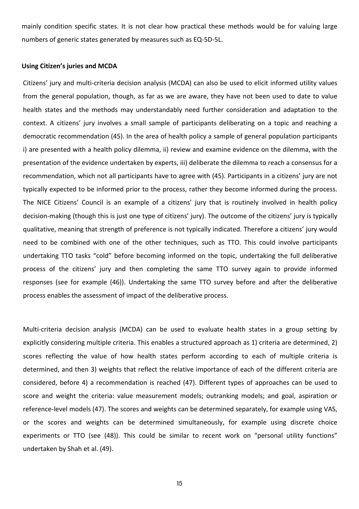mainly condition specific states. It is not clear how practical these methods would be for valuing large numbers of generic states generated by measures such as EQ-5D-5L.

#### **Using Citizen's juries and MCDA**

Citizens' jury and multi-criteria decision analysis (MCDA) can also be used to elicit informed utility values from the general population, though, as far as we are aware, they have not been used to date to value health states and the methods may understandably need further consideration and adaptation to the context. A citizens' jury involves a small sample of participants deliberating on a topic and reaching a democratic recommendation (45). In the area of health policy a sample of general population participants i) are presented with a health policy dilemma, ii) review and examine evidence on the dilemma, with the presentation of the evidence undertaken by experts, iii) deliberate the dilemma to reach a consensus for a recommendation, which not all participants have to agree with (45). Participants in a citizens' jury are not typically expected to be informed prior to the process, rather they become informed during the process. The NICE Citizens' Council is an example of a citizens' jury that is routinely involved in health policy decision-making (though this is just one type of citizens' jury). The outcome of the citizens' jury is typically qualitative, meaning that strength of preference is not typically indicated. Therefore a citizens' jury would need to be combined with one of the other techniques, such as TTO. This could involve participants undertaking TTO tasks "cold" before becoming informed on the topic, undertaking the full deliberative process of the citizens' jury and then completing the same TTO survey again to provide informed responses (see for example (46)). Undertaking the same TTO survey before and after the deliberative process enables the assessment of impact of the deliberative process.

Multi-criteria decision analysis (MCDA) can be used to evaluate health states in a group setting by explicitly considering multiple criteria. This enables a structured approach as 1) criteria are determined, 2) scores reflecting the value of how health states perform according to each of multiple criteria is determined, and then 3) weights that reflect the relative importance of each of the different criteria are considered, before 4) a recommendation is reached (47). Different types of approaches can be used to score and weight the criteria: value measurement models; outranking models; and goal, aspiration or reference-level models (47). The scores and weights can be determined separately, for example using VAS, or the scores and weights can be determined simultaneously, for example using discrete choice experiments or TTO (see (48)). This could be similar to recent work on "personal utility functions" undertaken by Shah et al. (49).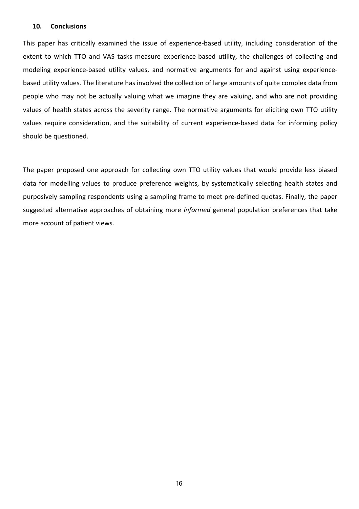#### **10. Conclusions**

This paper has critically examined the issue of experience-based utility, including consideration of the extent to which TTO and VAS tasks measure experience-based utility, the challenges of collecting and modeling experience-based utility values, and normative arguments for and against using experiencebased utility values. The literature has involved the collection of large amounts of quite complex data from people who may not be actually valuing what we imagine they are valuing, and who are not providing values of health states across the severity range. The normative arguments for eliciting own TTO utility values require consideration, and the suitability of current experience-based data for informing policy should be questioned.

The paper proposed one approach for collecting own TTO utility values that would provide less biased data for modelling values to produce preference weights, by systematically selecting health states and purposively sampling respondents using a sampling frame to meet pre-defined quotas. Finally, the paper suggested alternative approaches of obtaining more *informed* general population preferences that take more account of patient views.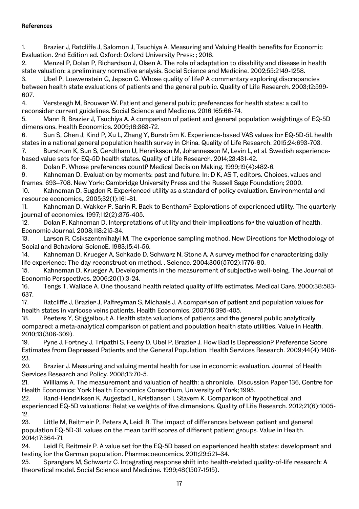#### **References**

1. Brazier J, Ratcliffe J, Salomon J, Tsuchiya A. Measuring and Valuing Health benefits for Economic Evaluation. 2nd Edition ed. Oxford: Oxford University Press: ; 2016.

2. Menzel P, Dolan P, Richardson J, Olsen A. The role of adaptation to disability and disease in health state valuation: a preliminary normative analysis. Social Science and Medicine. 2002;55:2149-1258.

3. Ubel P, Loewenstein G, Jepson C. Whose quality of life? A commentary exploring discrepancies between health state evaluations of patients and the general public. Quality of Life Research. 2003;12:599- 607.

4. Versteegh M, Brouwer W. Patient and general public preferences for health states: a call to reconsider current guidelines. Social Science and Medicine. 2016;165:66-74.

5. Mann R, Brazier J, Tsuchiya A. A comparison of patient and general population weightings of EQ-5D dimensions. Health Economics. 2009;18:363-72.

6. Sun S, Chen J, Kind P, Xu L, Zhang Y, Burström K. Experience-based VAS values for EQ-5D-5L health states in a national general population health survey in China. Quality of Life Research. 2015;24:693-703.

7. Burstrom K, Sun S, Gerdtham U, Henriksson M, Johannesson M, Levin L, et al. Swedish experiencebased value sets for EQ-5D health states. Quality of Life Research. 2014;23:431-42.

8. Dolan P. Whose preferences count? Medical Decision Making. 1999;19(4):482-6.

9. Kahneman D. Evaluation by moments: past and future. In: D K, AS T, editors. Choices, values and frames. 693–708. New York: Cambridge University Press and the Russell Sage Foundation; 2000.

10. Kahneman D, Sugden R. Experienced utility as a standard of policy evaluation. Environmental and resource economics,. 2005;32(1):161-81.

11. Kahneman D, Wakker P, Sarin R. Back to Bentham? Explorations of experienced utility. The quarterly journal of economics. 1997;112(2):375-405.

12. Dolan P, Kahneman D. Interpretations of utility and their implications for the valuation of health. Economic Journal. 2008;118:215-34.

13. Larson R, Csikszentmihalyi M. The experience sampling method. New Directions for Methodology of Social and Behavioral SciencE. 1983;15:41-56.

14. Kahneman D, Krueger A, Schkade D, Schwarz N, Stone A. A survey method for characterizing daily life experience: The day reconstruction method. . Science. 2004;306(5702):1776-80.

15. Kahneman D, Krueger A. Developments in the measurement of subjective well-being. The Journal of Economic Perspectives. 2006;20(1):3-24.

16. Tengs T, Wallace A. One thousand health related quality of life estimates. Medical Care. 2000;38:583- 637.

17. Ratcliffe J, Brazier J, Palfreyman S, Michaels J. A comparison of patient and population values for health states in varicose veins patients. Health Economics. 2007;16:395-405.

18. Peeters Y, Stiggelbout A. Health state valuations of patients and the general public analytically compared: a meta-analytical comparison of patient and population health state utilities. Value in Health. 2010;13(306-309).

19. Pyne J, Fortney J, Tripathi S, Feeny D, Ubel P, Brazier J. How Bad Is Depression? Preference Score Estimates from Depressed Patients and the General Population. Health Services Research. 2009;44(4):1406- 23.

20. Brazier J. Measuring and valuing mental health for use in economic evaluation. Journal of Health Services Research and Policy. 2008;13:70-5.

21. Williams A. The measurement and valuation of health: a chronicle. Discussion Paper 136, Centre for Health Economics: York Health Economics Consortium, University of York; 1995.

22. Rand-Hendriksen K, Augestad L, Kristiansen I, Stavem K. Comparison of hypothetical and experienced EQ-5D valuations: Relative weights of five dimensions. Quality of Life Research. 2012;21(6):1005- 12.

23. Little M, Reitmeir P, Peters A, Leidl R. The impact of differences between patient and general population EQ-5D-3L values on the mean tariff scores of different patient groups. Value in Health. 2014;17:364-71.

24. Leidl R, Reitmeir P. A value set for the EQ-5D based on experienced health states: development and testing for the German population. Pharmacoeonomics. 2011;29:521–34.

25. Sprangers M, Schwartz C. Integrating response shift into health-related quality-of-life research: A theoretical model. Social Science and Medicine. 1999;48(1507-1515).